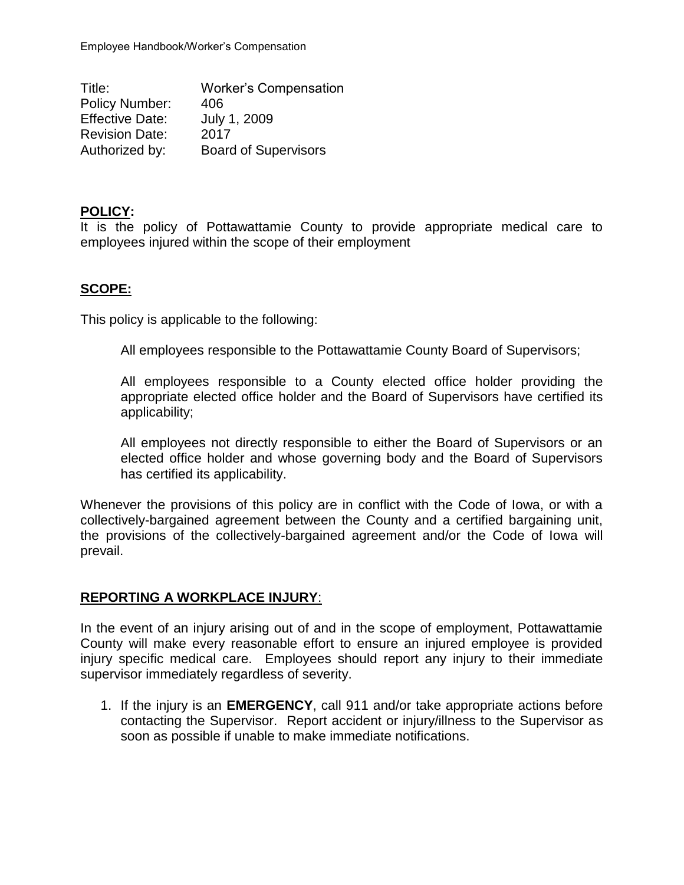Title: Worker's Compensation Policy Number: 406 Effective Date: July 1, 2009 Revision Date: 2017 Authorized by: Board of Supervisors

## **POLICY:**

It is the policy of Pottawattamie County to provide appropriate medical care to employees injured within the scope of their employment

### **SCOPE:**

This policy is applicable to the following:

All employees responsible to the Pottawattamie County Board of Supervisors;

All employees responsible to a County elected office holder providing the appropriate elected office holder and the Board of Supervisors have certified its applicability;

All employees not directly responsible to either the Board of Supervisors or an elected office holder and whose governing body and the Board of Supervisors has certified its applicability.

Whenever the provisions of this policy are in conflict with the Code of Iowa, or with a collectively-bargained agreement between the County and a certified bargaining unit, the provisions of the collectively-bargained agreement and/or the Code of Iowa will prevail.

#### **REPORTING A WORKPLACE INJURY**:

In the event of an injury arising out of and in the scope of employment, Pottawattamie County will make every reasonable effort to ensure an injured employee is provided injury specific medical care. Employees should report any injury to their immediate supervisor immediately regardless of severity.

1. If the injury is an **EMERGENCY**, call 911 and/or take appropriate actions before contacting the Supervisor. Report accident or injury/illness to the Supervisor as soon as possible if unable to make immediate notifications.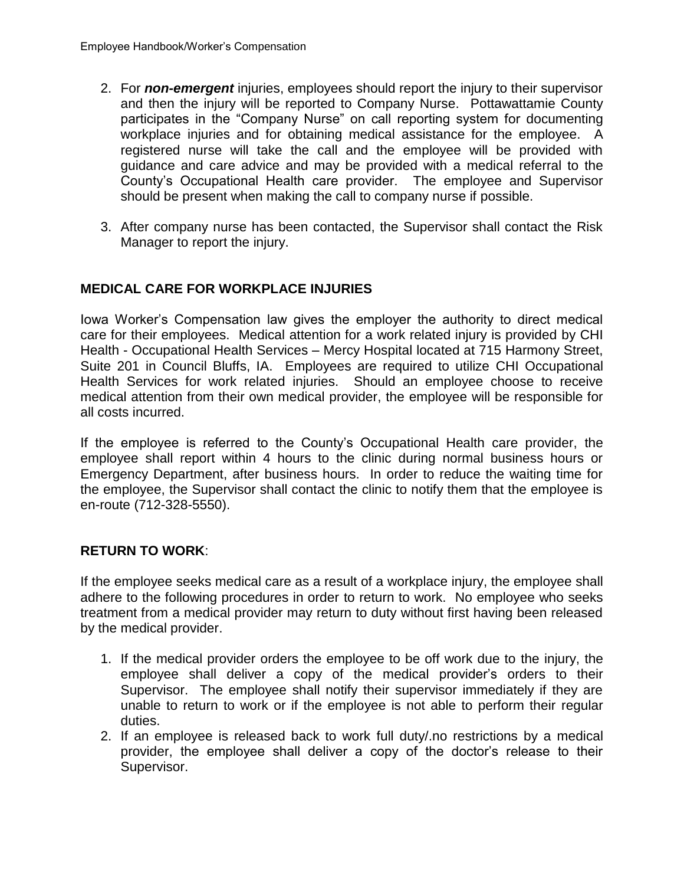- 2. For *non-emergent* injuries, employees should report the injury to their supervisor and then the injury will be reported to Company Nurse. Pottawattamie County participates in the "Company Nurse" on call reporting system for documenting workplace injuries and for obtaining medical assistance for the employee. A registered nurse will take the call and the employee will be provided with guidance and care advice and may be provided with a medical referral to the County's Occupational Health care provider. The employee and Supervisor should be present when making the call to company nurse if possible.
- 3. After company nurse has been contacted, the Supervisor shall contact the Risk Manager to report the injury.

# **MEDICAL CARE FOR WORKPLACE INJURIES**

Iowa Worker's Compensation law gives the employer the authority to direct medical care for their employees. Medical attention for a work related injury is provided by CHI Health - Occupational Health Services – Mercy Hospital located at 715 Harmony Street, Suite 201 in Council Bluffs, IA. Employees are required to utilize CHI Occupational Health Services for work related injuries. Should an employee choose to receive medical attention from their own medical provider, the employee will be responsible for all costs incurred.

If the employee is referred to the County's Occupational Health care provider, the employee shall report within 4 hours to the clinic during normal business hours or Emergency Department, after business hours. In order to reduce the waiting time for the employee, the Supervisor shall contact the clinic to notify them that the employee is en-route (712-328-5550).

## **RETURN TO WORK**:

If the employee seeks medical care as a result of a workplace injury, the employee shall adhere to the following procedures in order to return to work. No employee who seeks treatment from a medical provider may return to duty without first having been released by the medical provider.

- 1. If the medical provider orders the employee to be off work due to the injury, the employee shall deliver a copy of the medical provider's orders to their Supervisor. The employee shall notify their supervisor immediately if they are unable to return to work or if the employee is not able to perform their regular duties.
- 2. If an employee is released back to work full duty/.no restrictions by a medical provider, the employee shall deliver a copy of the doctor's release to their Supervisor.